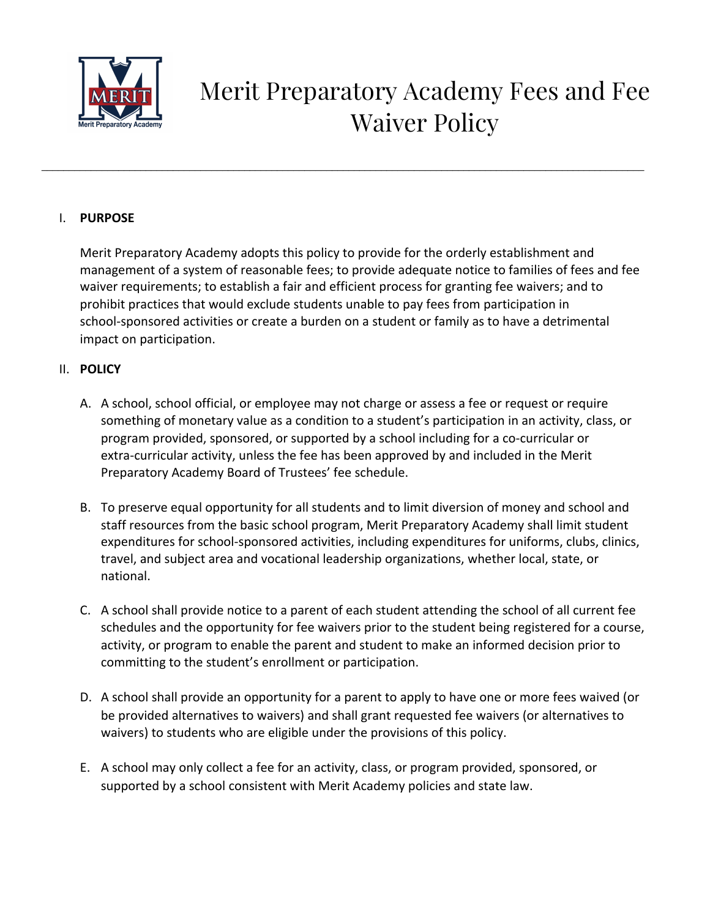

# Merit Preparatory Academy Fees and Fee Waiver Policy

## I. **PURPOSE**

Merit Preparatory Academy adopts this policy to provide for the orderly establishment and management of a system of reasonable fees; to provide adequate notice to families of fees and fee waiver requirements; to establish a fair and efficient process for granting fee waivers; and to prohibit practices that would exclude students unable to pay fees from participation in school-sponsored activities or create a burden on a student or family as to have a detrimental impact on participation.

\_\_\_\_\_\_\_\_\_\_\_\_\_\_\_\_\_\_\_\_\_\_\_\_\_\_\_\_\_\_\_\_\_\_\_\_\_\_\_\_\_\_\_\_\_\_\_\_\_\_\_\_\_\_\_\_\_\_\_\_\_\_\_\_\_\_\_\_\_\_\_\_\_\_\_\_\_\_\_\_\_\_\_\_\_\_\_\_\_\_\_\_\_\_\_\_\_\_\_\_\_\_\_\_\_\_\_\_\_\_

## II. **POLICY**

- A. A school, school official, or employee may not charge or assess a fee or request or require something of monetary value as a condition to a student's participation in an activity, class, or program provided, sponsored, or supported by a school including for a co-curricular or extra-curricular activity, unless the fee has been approved by and included in the Merit Preparatory Academy Board of Trustees' fee schedule.
- B. To preserve equal opportunity for all students and to limit diversion of money and school and staff resources from the basic school program, Merit Preparatory Academy shall limit student expenditures for school-sponsored activities, including expenditures for uniforms, clubs, clinics, travel, and subject area and vocational leadership organizations, whether local, state, or national.
- C. A school shall provide notice to a parent of each student attending the school of all current fee schedules and the opportunity for fee waivers prior to the student being registered for a course, activity, or program to enable the parent and student to make an informed decision prior to committing to the student's enrollment or participation.
- D. A school shall provide an opportunity for a parent to apply to have one or more fees waived (or be provided alternatives to waivers) and shall grant requested fee waivers (or alternatives to waivers) to students who are eligible under the provisions of this policy.
- E. A school may only collect a fee for an activity, class, or program provided, sponsored, or supported by a school consistent with Merit Academy policies and state law.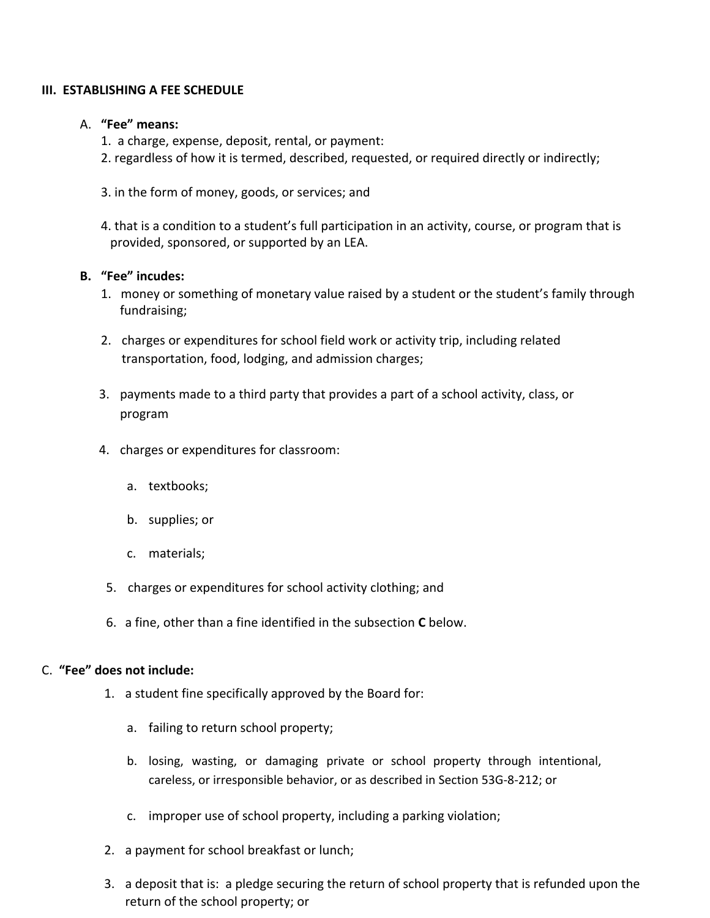#### **III. ESTABLISHING A FEE SCHEDULE**

#### A. **"Fee" means:**

- 1. a charge, expense, deposit, rental, or payment:
- 2. regardless of how it is termed, described, requested, or required directly or indirectly;
- 3. in the form of money, goods, or services; and
- 4. that is a condition to a student's full participation in an activity, course, or program that is provided, sponsored, or supported by an LEA.

#### **B. "Fee" incudes:**

- 1. money or something of monetary value raised by a student or the student's family through fundraising;
- 2. charges or expenditures for school field work or activity trip, including related transportation, food, lodging, and admission charges;
- 3. payments made to a third party that provides a part of a school activity, class, or program
- 4. charges or expenditures for classroom:
	- a. textbooks;
	- b. supplies; or
	- c. materials;
- 5. charges or expenditures for school activity clothing; and
- 6. a fine, other than a fine identified in the subsection **C** below.

#### C. **"Fee" does not include:**

- 1. a student fine specifically approved by the Board for:
	- a. failing to return school property;
	- b. losing, wasting, or damaging private or school property through intentional, careless, or irresponsible behavior, or as described in Section 53G-8-212; or
	- c. improper use of school property, including a parking violation;
- 2. a payment for school breakfast or lunch;
- 3. a deposit that is: a pledge securing the return of school property that is refunded upon the return of the school property; or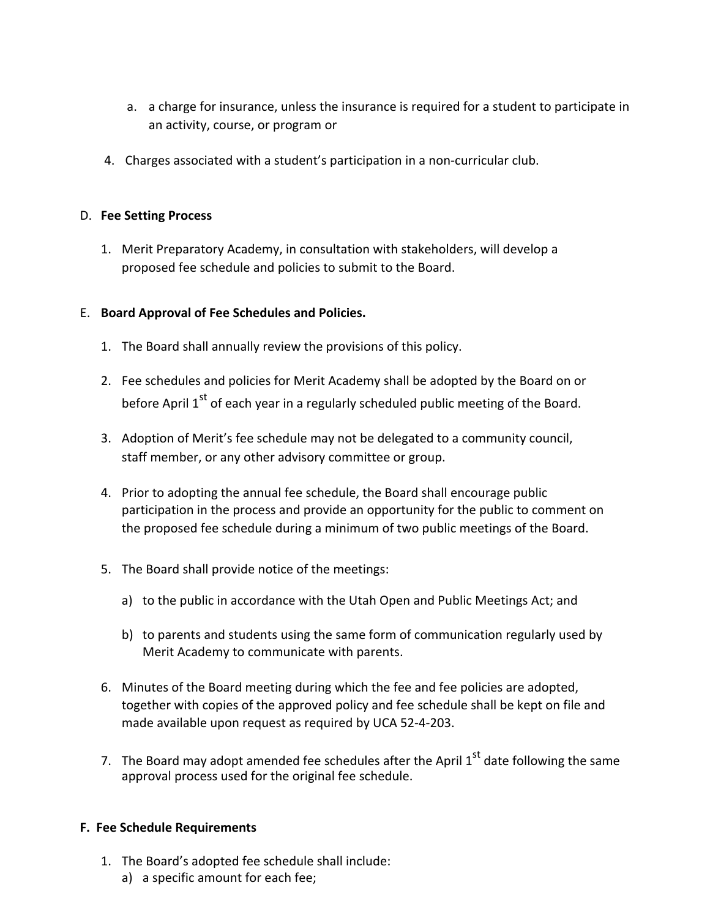- a. a charge for insurance, unless the insurance is required for a student to participate in an activity, course, or program or
- 4. Charges associated with a student's participation in a non-curricular club.

## D. **Fee Setting Process**

1. Merit Preparatory Academy, in consultation with stakeholders, will develop a proposed fee schedule and policies to submit to the Board.

# E. **Board Approval of Fee Schedules and Policies.**

- 1. The Board shall annually review the provisions of this policy.
- 2. Fee schedules and policies for Merit Academy shall be adopted by the Board on or before April 1<sup>st</sup> of each year in a regularly scheduled public meeting of the Board.
- 3. Adoption of Merit's fee schedule may not be delegated to a community council, staff member, or any other advisory committee or group.
- 4. Prior to adopting the annual fee schedule, the Board shall encourage public participation in the process and provide an opportunity for the public to comment on the proposed fee schedule during a minimum of two public meetings of the Board.
- 5. The Board shall provide notice of the meetings:
	- a) to the public in accordance with the Utah Open and Public Meetings Act; and
	- b) to parents and students using the same form of communication regularly used by Merit Academy to communicate with parents.
- 6. Minutes of the Board meeting during which the fee and fee policies are adopted, together with copies of the approved policy and fee schedule shall be kept on file and made available upon request as required by UCA 52-4-203.
- 7. The Board may adopt amended fee schedules after the April  $1^{\text{st}}$  date following the same approval process used for the original fee schedule.

# **F. Fee Schedule Requirements**

- 1. The Board's adopted fee schedule shall include:
	- a) a specific amount for each fee;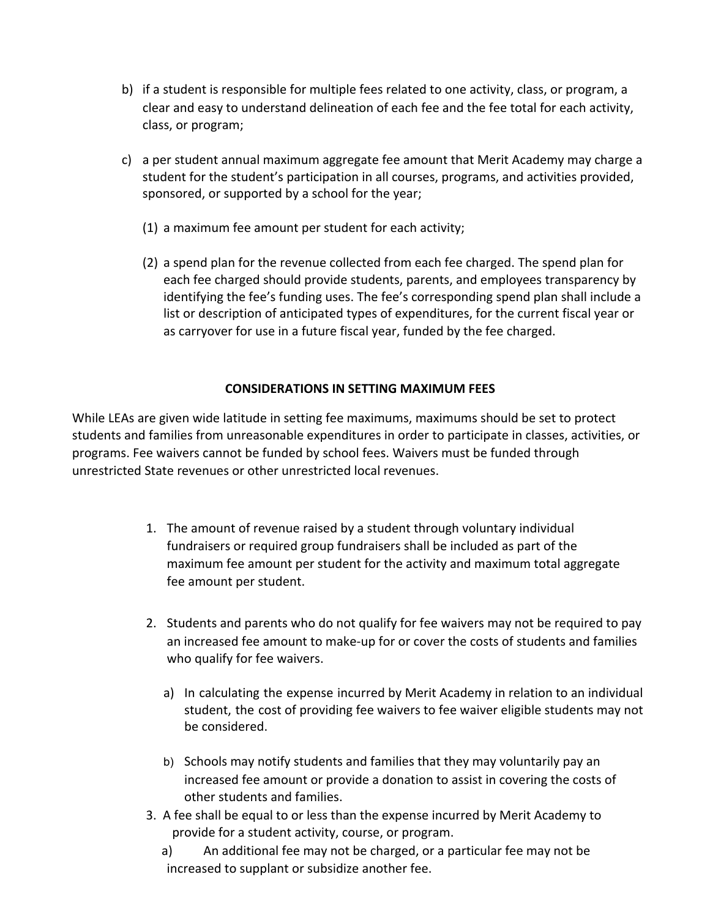- b) if a student is responsible for multiple fees related to one activity, class, or program, a clear and easy to understand delineation of each fee and the fee total for each activity, class, or program;
- c) a per student annual maximum aggregate fee amount that Merit Academy may charge a student for the student's participation in all courses, programs, and activities provided, sponsored, or supported by a school for the year;
	- (1) a maximum fee amount per student for each activity;
	- (2) a spend plan for the revenue collected from each fee charged. The spend plan for each fee charged should provide students, parents, and employees transparency by identifying the fee's funding uses. The fee's corresponding spend plan shall include a list or description of anticipated types of expenditures, for the current fiscal year or as carryover for use in a future fiscal year, funded by the fee charged.

# **CONSIDERATIONS IN SETTING MAXIMUM FEES**

While LEAs are given wide latitude in setting fee maximums, maximums should be set to protect students and families from unreasonable expenditures in order to participate in classes, activities, or programs. Fee waivers cannot be funded by school fees. Waivers must be funded through unrestricted State revenues or other unrestricted local revenues.

- 1. The amount of revenue raised by a student through voluntary individual fundraisers or required group fundraisers shall be included as part of the maximum fee amount per student for the activity and maximum total aggregate fee amount per student.
- 2. Students and parents who do not qualify for fee waivers may not be required to pay an increased fee amount to make-up for or cover the costs of students and families who qualify for fee waivers.
	- a) In calculating the expense incurred by Merit Academy in relation to an individual student, the cost of providing fee waivers to fee waiver eligible students may not be considered.
	- b) Schools may notify students and families that they may voluntarily pay an increased fee amount or provide a donation to assist in covering the costs of other students and families.
- 3. A fee shall be equal to or less than the expense incurred by Merit Academy to provide for a student activity, course, or program.
	- a) An additional fee may not be charged, or a particular fee may not be increased to supplant or subsidize another fee.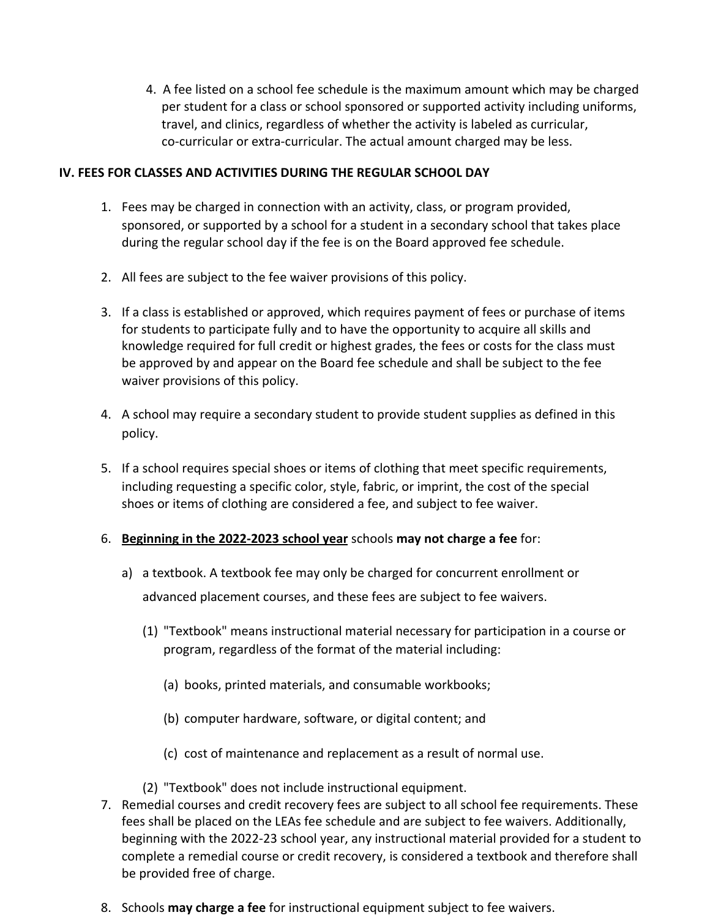4. A fee listed on a school fee schedule is the maximum amount which may be charged per student for a class or school sponsored or supported activity including uniforms, travel, and clinics, regardless of whether the activity is labeled as curricular, co-curricular or extra-curricular. The actual amount charged may be less.

## **IV. FEES FOR CLASSES AND ACTIVITIES DURING THE REGULAR SCHOOL DAY**

- 1. Fees may be charged in connection with an activity, class, or program provided, sponsored, or supported by a school for a student in a secondary school that takes place during the regular school day if the fee is on the Board approved fee schedule.
- 2. All fees are subject to the fee waiver provisions of this policy.
- 3. If a class is established or approved, which requires payment of fees or purchase of items for students to participate fully and to have the opportunity to acquire all skills and knowledge required for full credit or highest grades, the fees or costs for the class must be approved by and appear on the Board fee schedule and shall be subject to the fee waiver provisions of this policy.
- 4. A school may require a secondary student to provide student supplies as defined in this policy.
- 5. If a school requires special shoes or items of clothing that meet specific requirements, including requesting a specific color, style, fabric, or imprint, the cost of the special shoes or items of clothing are considered a fee, and subject to fee waiver.

# 6. **Beginning in the 2022-2023 school year** schools **may not charge a fee** for:

- a) a textbook. A textbook fee may only be charged for concurrent enrollment or advanced placement courses, and these fees are subject to fee waivers.
	- (1) "Textbook" means instructional material necessary for participation in a course or program, regardless of the format of the material including:
		- (a) books, printed materials, and consumable workbooks;
		- (b) computer hardware, software, or digital content; and
		- (c) cost of maintenance and replacement as a result of normal use.
	- (2) "Textbook" does not include instructional equipment.
- 7. Remedial courses and credit recovery fees are subject to all school fee requirements. These fees shall be placed on the LEAs fee schedule and are subject to fee waivers. Additionally, beginning with the 2022-23 school year, any instructional material provided for a student to complete a remedial course or credit recovery, is considered a textbook and therefore shall be provided free of charge.
- 8. Schools **may charge a fee** for instructional equipment subject to fee waivers.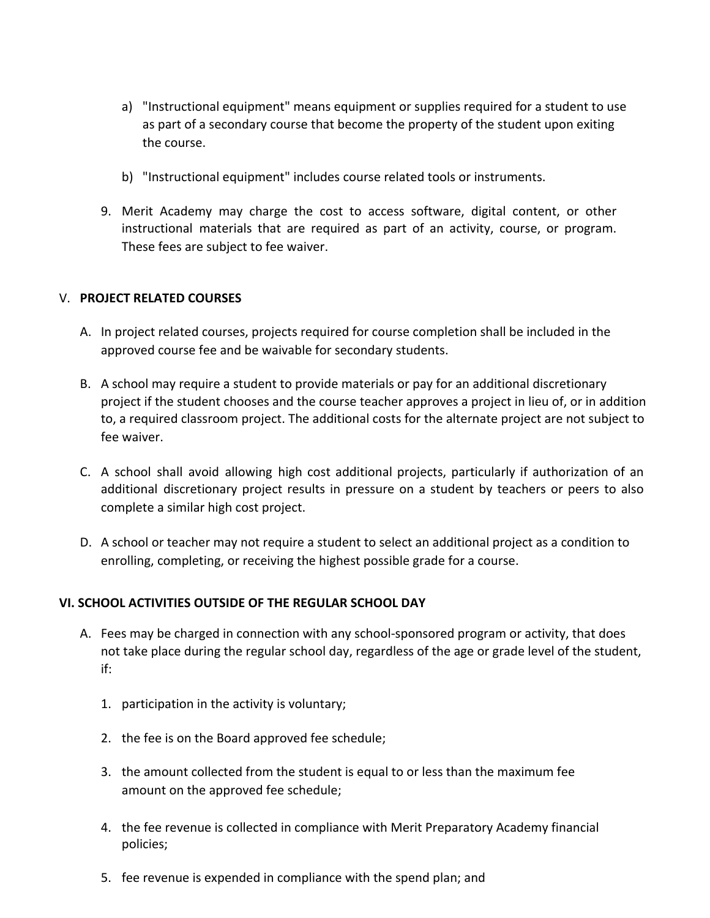- a) "Instructional equipment" means equipment or supplies required for a student to use as part of a secondary course that become the property of the student upon exiting the course.
- b) "Instructional equipment" includes course related tools or instruments.
- 9. Merit Academy may charge the cost to access software, digital content, or other instructional materials that are required as part of an activity, course, or program. These fees are subject to fee waiver.

#### V. **PROJECT RELATED COURSES**

- A. In project related courses, projects required for course completion shall be included in the approved course fee and be waivable for secondary students.
- B. A school may require a student to provide materials or pay for an additional discretionary project if the student chooses and the course teacher approves a project in lieu of, or in addition to, a required classroom project. The additional costs for the alternate project are not subject to fee waiver.
- C. A school shall avoid allowing high cost additional projects, particularly if authorization of an additional discretionary project results in pressure on a student by teachers or peers to also complete a similar high cost project.
- D. A school or teacher may not require a student to select an additional project as a condition to enrolling, completing, or receiving the highest possible grade for a course.

# **VI. SCHOOL ACTIVITIES OUTSIDE OF THE REGULAR SCHOOL DAY**

- A. Fees may be charged in connection with any school-sponsored program or activity, that does not take place during the regular school day, regardless of the age or grade level of the student, if:
	- 1. participation in the activity is voluntary;
	- 2. the fee is on the Board approved fee schedule;
	- 3. the amount collected from the student is equal to or less than the maximum fee amount on the approved fee schedule;
	- 4. the fee revenue is collected in compliance with Merit Preparatory Academy financial policies;
	- 5. fee revenue is expended in compliance with the spend plan; and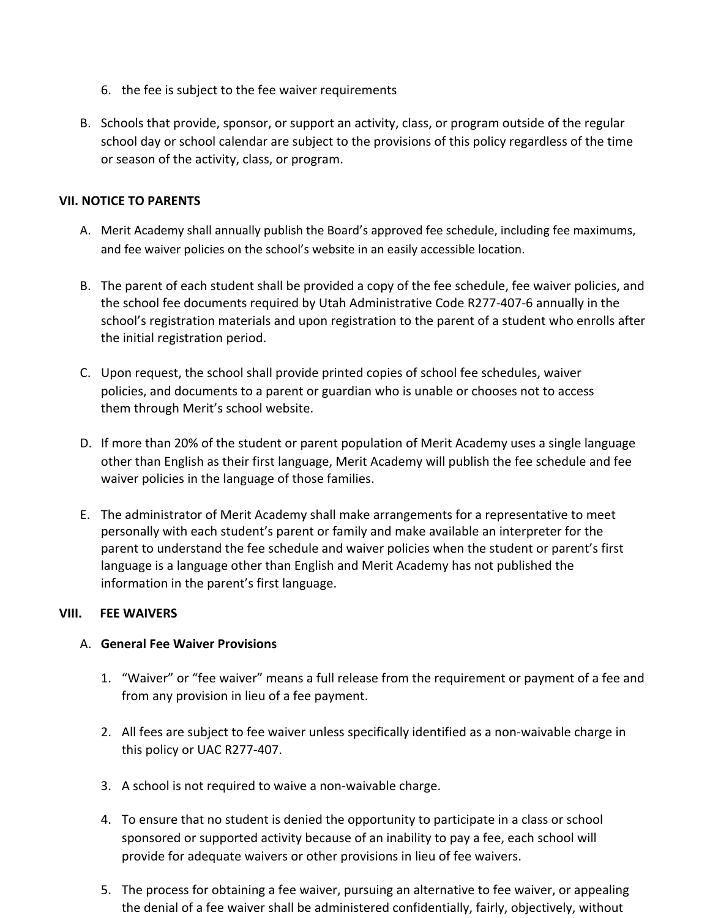- 6. the fee is subject to the fee waiver requirements
- B. Schools that provide, sponsor, or support an activity, class, or program outside of the regular school day or school calendar are subject to the provisions of this policy regardless of the time or season of the activity, class, or program.

## **VII. NOTICE TO PARENTS**

- A. Merit Academy shall annually publish the Board's approved fee schedule, including fee maximums, and fee waiver policies on the school's website in an easily accessible location.
- B. The parent of each student shall be provided a copy of the fee schedule, fee waiver policies, and the school fee documents required by Utah Administrative Code R277-407-6 annually in the school's registration materials and upon registration to the parent of a student who enrolls after the initial registration period.
- C. Upon request, the school shall provide printed copies of school fee schedules, waiver policies, and documents to a parent or guardian who is unable or chooses not to access them through Merit's school website.
- D. If more than 20% of the student or parent population of Merit Academy uses a single language other than English as their first language, Merit Academy will publish the fee schedule and fee waiver policies in the language of those families.
- E. The administrator of Merit Academy shall make arrangements for a representative to meet personally with each student's parent or family and make available an interpreter for the parent to understand the fee schedule and waiver policies when the student or parent's first language is a language other than English and Merit Academy has not published the information in the parent's first language.

#### **VIII. FEE WAIVERS**

#### A. **General Fee Waiver Provisions**

- 1. "Waiver" or "fee waiver" means a full release from the requirement or payment of a fee and from any provision in lieu of a fee payment.
- 2. All fees are subject to fee waiver unless specifically identified as a non-waivable charge in this policy or UAC R277-407.
- 3. A school is not required to waive a non-waivable charge.
- 4. To ensure that no student is denied the opportunity to participate in a class or school sponsored or supported activity because of an inability to pay a fee, each school will provide for adequate waivers or other provisions in lieu of fee waivers.
- 5. The process for obtaining a fee waiver, pursuing an alternative to fee waiver, or appealing the denial of a fee waiver shall be administered confidentially, fairly, objectively, without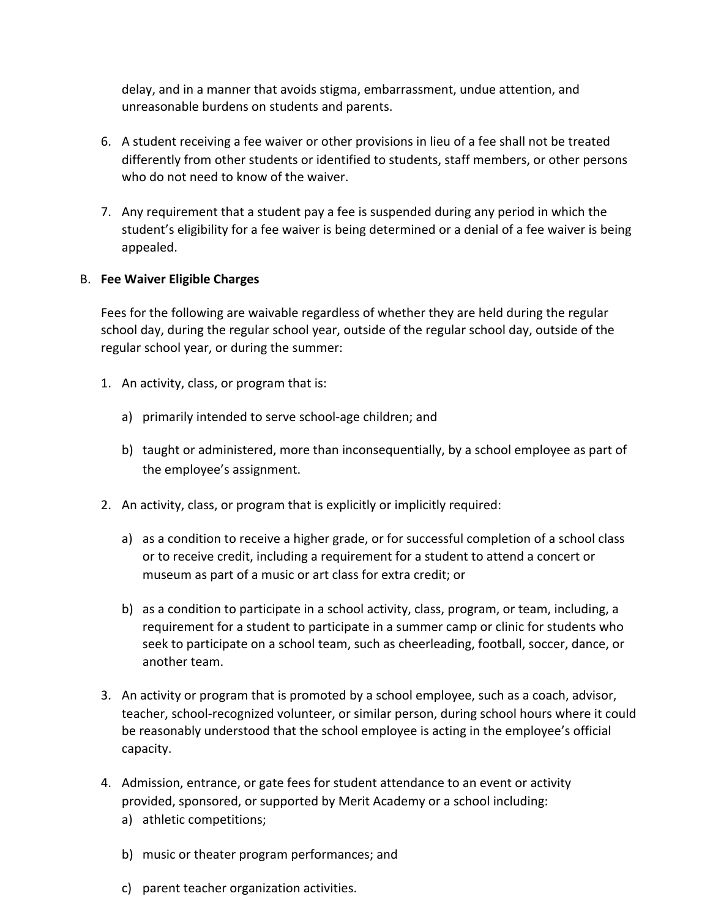delay, and in a manner that avoids stigma, embarrassment, undue attention, and unreasonable burdens on students and parents.

- 6. A student receiving a fee waiver or other provisions in lieu of a fee shall not be treated differently from other students or identified to students, staff members, or other persons who do not need to know of the waiver.
- 7. Any requirement that a student pay a fee is suspended during any period in which the student's eligibility for a fee waiver is being determined or a denial of a fee waiver is being appealed.

#### B. **Fee Waiver Eligible Charges**

Fees for the following are waivable regardless of whether they are held during the regular school day, during the regular school year, outside of the regular school day, outside of the regular school year, or during the summer:

- 1. An activity, class, or program that is:
	- a) primarily intended to serve school-age children; and
	- b) taught or administered, more than inconsequentially, by a school employee as part of the employee's assignment.
- 2. An activity, class, or program that is explicitly or implicitly required:
	- a) as a condition to receive a higher grade, or for successful completion of a school class or to receive credit, including a requirement for a student to attend a concert or museum as part of a music or art class for extra credit; or
	- b) as a condition to participate in a school activity, class, program, or team, including, a requirement for a student to participate in a summer camp or clinic for students who seek to participate on a school team, such as cheerleading, football, soccer, dance, or another team.
- 3. An activity or program that is promoted by a school employee, such as a coach, advisor, teacher, school-recognized volunteer, or similar person, during school hours where it could be reasonably understood that the school employee is acting in the employee's official capacity.
- 4. Admission, entrance, or gate fees for student attendance to an event or activity provided, sponsored, or supported by Merit Academy or a school including:
	- a) athletic competitions;
	- b) music or theater program performances; and
	- c) parent teacher organization activities.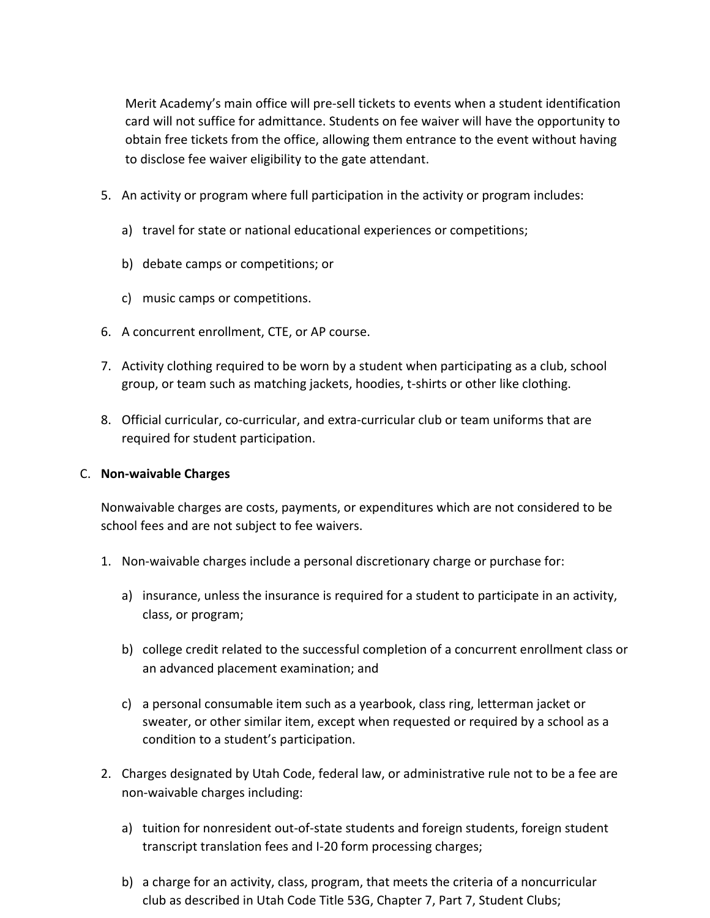Merit Academy's main office will pre-sell tickets to events when a student identification card will not suffice for admittance. Students on fee waiver will have the opportunity to obtain free tickets from the office, allowing them entrance to the event without having to disclose fee waiver eligibility to the gate attendant.

- 5. An activity or program where full participation in the activity or program includes:
	- a) travel for state or national educational experiences or competitions;
	- b) debate camps or competitions; or
	- c) music camps or competitions.
- 6. A concurrent enrollment, CTE, or AP course.
- 7. Activity clothing required to be worn by a student when participating as a club, school group, or team such as matching jackets, hoodies, t-shirts or other like clothing.
- 8. Official curricular, co-curricular, and extra-curricular club or team uniforms that are required for student participation.

#### C. **Non-waivable Charges**

Nonwaivable charges are costs, payments, or expenditures which are not considered to be school fees and are not subject to fee waivers.

- 1. Non-waivable charges include a personal discretionary charge or purchase for:
	- a) insurance, unless the insurance is required for a student to participate in an activity, class, or program;
	- b) college credit related to the successful completion of a concurrent enrollment class or an advanced placement examination; and
	- c) a personal consumable item such as a yearbook, class ring, letterman jacket or sweater, or other similar item, except when requested or required by a school as a condition to a student's participation.
- 2. Charges designated by Utah Code, federal law, or administrative rule not to be a fee are non-waivable charges including:
	- a) tuition for nonresident out-of-state students and foreign students, foreign student transcript translation fees and I-20 form processing charges;
	- b) a charge for an activity, class, program, that meets the criteria of a noncurricular club as described in Utah Code Title 53G, Chapter 7, Part 7, Student Clubs;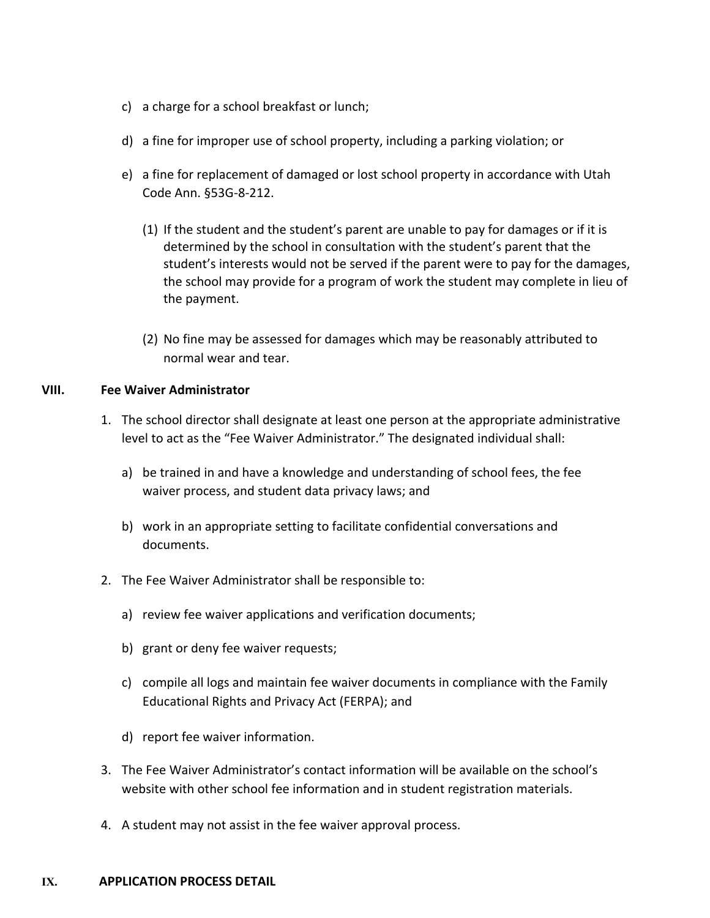- c) a charge for a school breakfast or lunch;
- d) a fine for improper use of school property, including a parking violation; or
- e) a fine for replacement of damaged or lost school property in accordance with Utah Code Ann. §53G-8-212.
	- (1) If the student and the student's parent are unable to pay for damages or if it is determined by the school in consultation with the student's parent that the student's interests would not be served if the parent were to pay for the damages, the school may provide for a program of work the student may complete in lieu of the payment.
	- (2) No fine may be assessed for damages which may be reasonably attributed to normal wear and tear.

#### **VIII. Fee Waiver Administrator**

- 1. The school director shall designate at least one person at the appropriate administrative level to act as the "Fee Waiver Administrator." The designated individual shall:
	- a) be trained in and have a knowledge and understanding of school fees, the fee waiver process, and student data privacy laws; and
	- b) work in an appropriate setting to facilitate confidential conversations and documents.
- 2. The Fee Waiver Administrator shall be responsible to:
	- a) review fee waiver applications and verification documents;
	- b) grant or deny fee waiver requests;
	- c) compile all logs and maintain fee waiver documents in compliance with the Family Educational Rights and Privacy Act (FERPA); and
	- d) report fee waiver information.
- 3. The Fee Waiver Administrator's contact information will be available on the school's website with other school fee information and in student registration materials.
- 4. A student may not assist in the fee waiver approval process.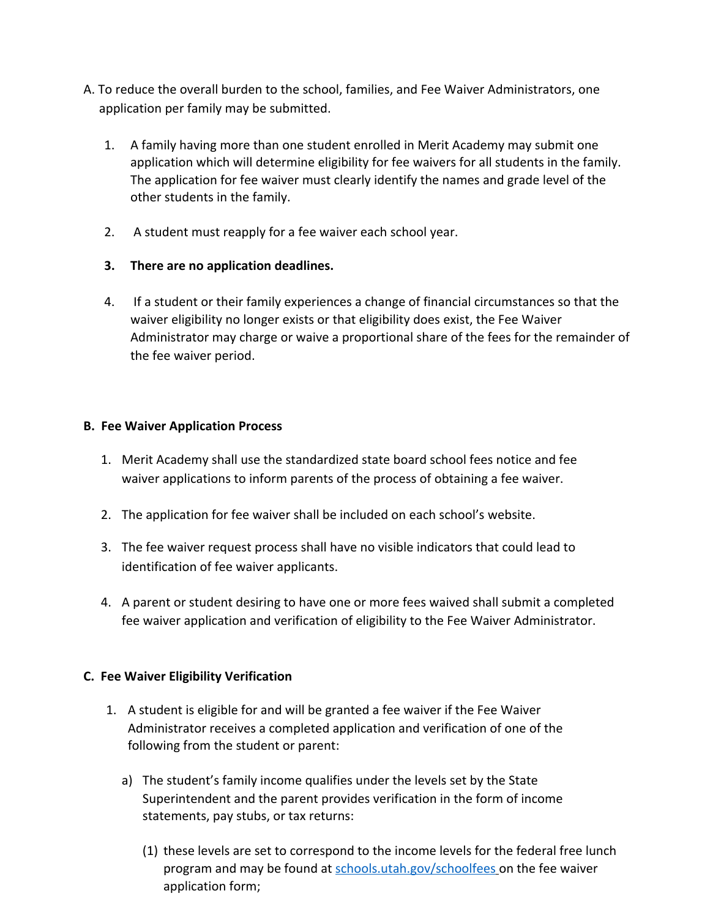- A. To reduce the overall burden to the school, families, and Fee Waiver Administrators, one application per family may be submitted.
	- 1. A family having more than one student enrolled in Merit Academy may submit one application which will determine eligibility for fee waivers for all students in the family. The application for fee waiver must clearly identify the names and grade level of the other students in the family.
	- 2. A student must reapply for a fee waiver each school year.

# **3. There are no application deadlines.**

4. If a student or their family experiences a change of financial circumstances so that the waiver eligibility no longer exists or that eligibility does exist, the Fee Waiver Administrator may charge or waive a proportional share of the fees for the remainder of the fee waiver period.

# **B. Fee Waiver Application Process**

- 1. Merit Academy shall use the standardized state board school fees notice and fee waiver applications to inform parents of the process of obtaining a fee waiver.
- 2. The application for fee waiver shall be included on each school's website.
- 3. The fee waiver request process shall have no visible indicators that could lead to identification of fee waiver applicants.
- 4. A parent or student desiring to have one or more fees waived shall submit a completed fee waiver application and verification of eligibility to the Fee Waiver Administrator.

# **C. Fee Waiver Eligibility Verification**

- 1. A student is eligible for and will be granted a fee waiver if the Fee Waiver Administrator receives a completed application and verification of one of the following from the student or parent:
	- a) The student's family income qualifies under the levels set by the State Superintendent and the parent provides verification in the form of income statements, pay stubs, or tax returns:
		- (1) these levels are set to correspond to the income levels for the federal free lunch program and may be found at [schools.utah.gov/schoolfees](https://www.schools.utah.gov/schoolfees) on the fee waiver application form;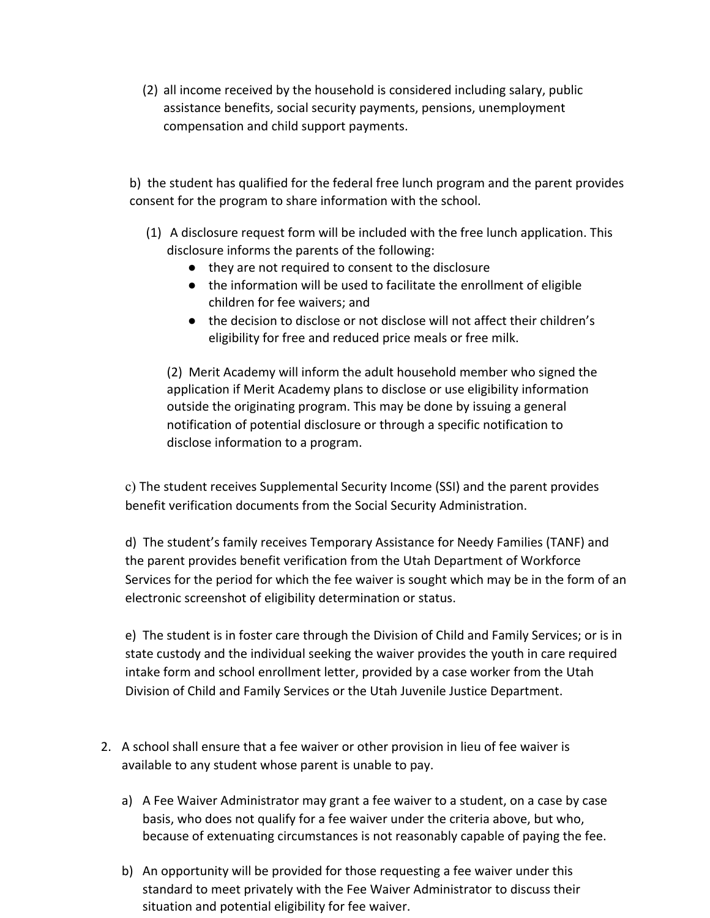(2) all income received by the household is considered including salary, public assistance benefits, social security payments, pensions, unemployment compensation and child support payments.

b) the student has qualified for the federal free lunch program and the parent provides consent for the program to share information with the school.

- (1) A disclosure request form will be included with the free lunch application. This disclosure informs the parents of the following:
	- they are not required to consent to the disclosure
	- the information will be used to facilitate the enrollment of eligible children for fee waivers; and
	- the decision to disclose or not disclose will not affect their children's eligibility for free and reduced price meals or free milk.

(2) Merit Academy will inform the adult household member who signed the application if Merit Academy plans to disclose or use eligibility information outside the originating program. This may be done by issuing a general notification of potential disclosure or through a specific notification to disclose information to a program.

c) The student receives Supplemental Security Income (SSI) and the parent provides benefit verification documents from the Social Security Administration.

d) The student's family receives Temporary Assistance for Needy Families (TANF) and the parent provides benefit verification from the Utah Department of Workforce Services for the period for which the fee waiver is sought which may be in the form of an electronic screenshot of eligibility determination or status.

e) The student is in foster care through the Division of Child and Family Services; or is in state custody and the individual seeking the waiver provides the youth in care required intake form and school enrollment letter, provided by a case worker from the Utah Division of Child and Family Services or the Utah Juvenile Justice Department.

- 2. A school shall ensure that a fee waiver or other provision in lieu of fee waiver is available to any student whose parent is unable to pay.
	- a) A Fee Waiver Administrator may grant a fee waiver to a student, on a case by case basis, who does not qualify for a fee waiver under the criteria above, but who, because of extenuating circumstances is not reasonably capable of paying the fee.
	- b) An opportunity will be provided for those requesting a fee waiver under this standard to meet privately with the Fee Waiver Administrator to discuss their situation and potential eligibility for fee waiver.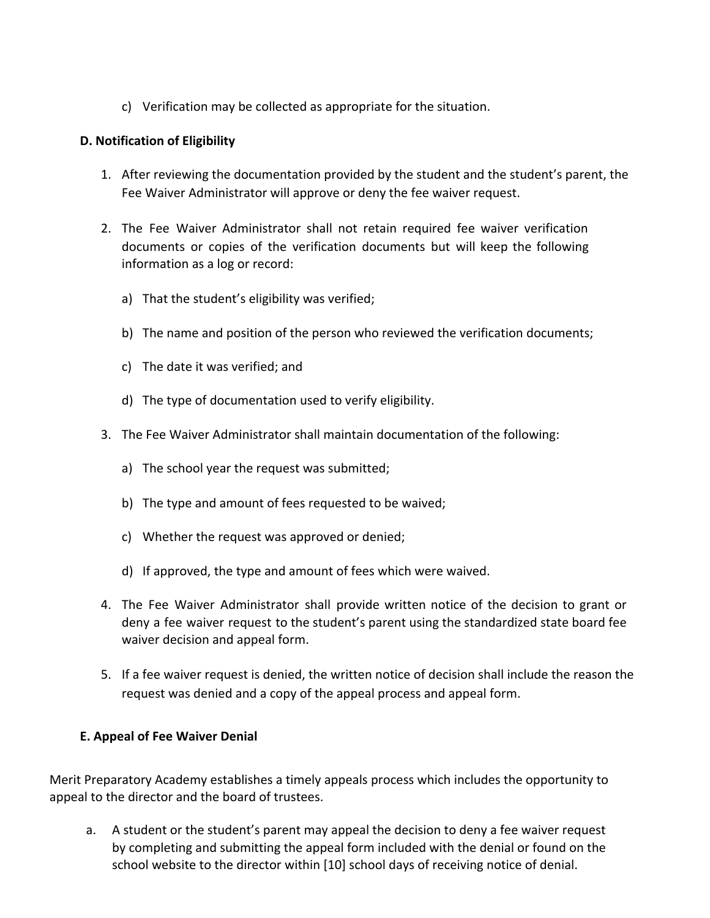c) Verification may be collected as appropriate for the situation.

## **D. Notification of Eligibility**

- 1. After reviewing the documentation provided by the student and the student's parent, the Fee Waiver Administrator will approve or deny the fee waiver request.
- 2. The Fee Waiver Administrator shall not retain required fee waiver verification documents or copies of the verification documents but will keep the following information as a log or record:
	- a) That the student's eligibility was verified;
	- b) The name and position of the person who reviewed the verification documents;
	- c) The date it was verified; and
	- d) The type of documentation used to verify eligibility.
- 3. The Fee Waiver Administrator shall maintain documentation of the following:
	- a) The school year the request was submitted;
	- b) The type and amount of fees requested to be waived;
	- c) Whether the request was approved or denied;
	- d) If approved, the type and amount of fees which were waived.
- 4. The Fee Waiver Administrator shall provide written notice of the decision to grant or deny a fee waiver request to the student's parent using the standardized state board fee waiver decision and appeal form.
- 5. If a fee waiver request is denied, the written notice of decision shall include the reason the request was denied and a copy of the appeal process and appeal form.

# **E. Appeal of Fee Waiver Denial**

Merit Preparatory Academy establishes a timely appeals process which includes the opportunity to appeal to the director and the board of trustees.

a. A student or the student's parent may appeal the decision to deny a fee waiver request by completing and submitting the appeal form included with the denial or found on the school website to the director within [10] school days of receiving notice of denial.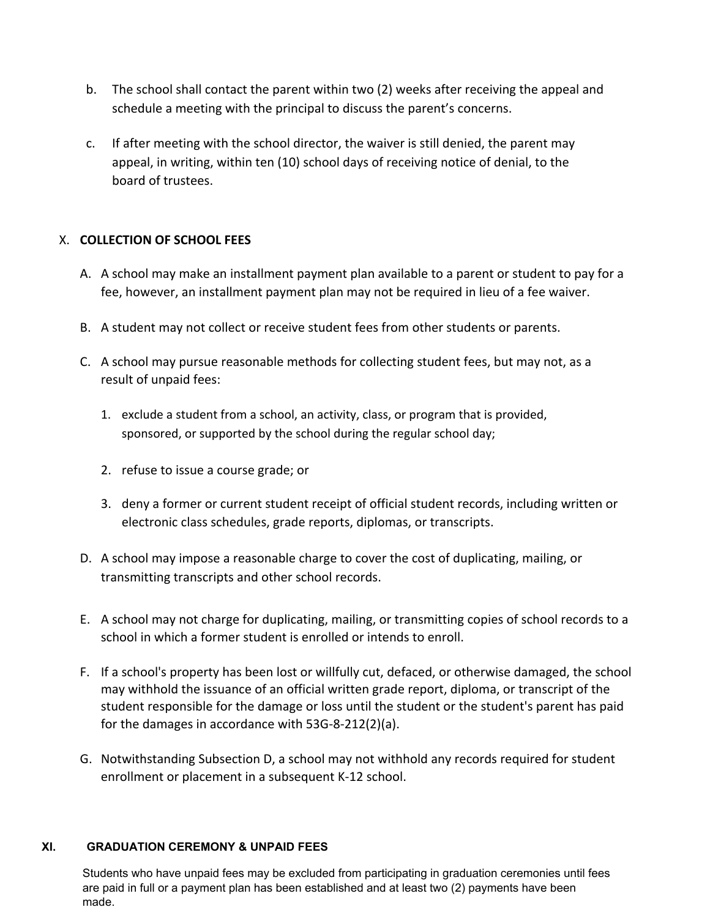- b. The school shall contact the parent within two (2) weeks after receiving the appeal and schedule a meeting with the principal to discuss the parent's concerns.
- c. If after meeting with the school director, the waiver is still denied, the parent may appeal, in writing, within ten (10) school days of receiving notice of denial, to the board of trustees.

# X. **COLLECTION OF SCHOOL FEES**

- A. A school may make an installment payment plan available to a parent or student to pay for a fee, however, an installment payment plan may not be required in lieu of a fee waiver.
- B. A student may not collect or receive student fees from other students or parents.
- C. A school may pursue reasonable methods for collecting student fees, but may not, as a result of unpaid fees:
	- 1. exclude a student from a school, an activity, class, or program that is provided, sponsored, or supported by the school during the regular school day;
	- 2. refuse to issue a course grade; or
	- 3. deny a former or current student receipt of official student records, including written or electronic class schedules, grade reports, diplomas, or transcripts.
- D. A school may impose a reasonable charge to cover the cost of duplicating, mailing, or transmitting transcripts and other school records.
- E. A school may not charge for duplicating, mailing, or transmitting copies of school records to a school in which a former student is enrolled or intends to enroll.
- F. If a school's property has been lost or willfully cut, defaced, or otherwise damaged, the school may withhold the issuance of an official written grade report, diploma, or transcript of the student responsible for the damage or loss until the student or the student's parent has paid for the damages in accordance with 53G-8-212(2)(a).
- G. Notwithstanding Subsection D, a school may not withhold any records required for student enrollment or placement in a subsequent K-12 school.

#### **XI. GRADUATION CEREMONY & UNPAID FEES**

Students who have unpaid fees may be excluded from participating in graduation ceremonies until fees are paid in full or a payment plan has been established and at least two (2) payments have been made.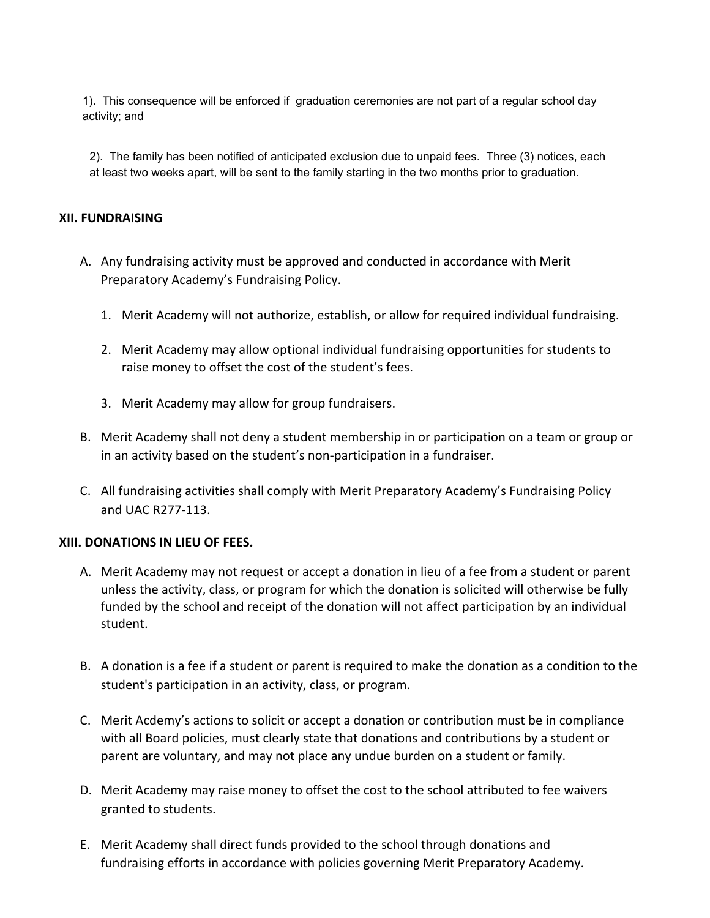1). This consequence will be enforced if graduation ceremonies are not part of a regular school day activity; and

2). The family has been notified of anticipated exclusion due to unpaid fees. Three (3) notices, each at least two weeks apart, will be sent to the family starting in the two months prior to graduation.

#### **XII. FUNDRAISING**

- A. Any fundraising activity must be approved and conducted in accordance with Merit Preparatory Academy's Fundraising Policy.
	- 1. Merit Academy will not authorize, establish, or allow for required individual fundraising.
	- 2. Merit Academy may allow optional individual fundraising opportunities for students to raise money to offset the cost of the student's fees.
	- 3. Merit Academy may allow for group fundraisers.
- B. Merit Academy shall not deny a student membership in or participation on a team or group or in an activity based on the student's non-participation in a fundraiser.
- C. All fundraising activities shall comply with Merit Preparatory Academy's Fundraising Policy and UAC R277-113.

#### **XIII. DONATIONS IN LIEU OF FEES.**

- A. Merit Academy may not request or accept a donation in lieu of a fee from a student or parent unless the activity, class, or program for which the donation is solicited will otherwise be fully funded by the school and receipt of the donation will not affect participation by an individual student.
- B. A donation is a fee if a student or parent is required to make the donation as a condition to the student's participation in an activity, class, or program.
- C. Merit Acdemy's actions to solicit or accept a donation or contribution must be in compliance with all Board policies, must clearly state that donations and contributions by a student or parent are voluntary, and may not place any undue burden on a student or family.
- D. Merit Academy may raise money to offset the cost to the school attributed to fee waivers granted to students.
- E. Merit Academy shall direct funds provided to the school through donations and fundraising efforts in accordance with policies governing Merit Preparatory Academy.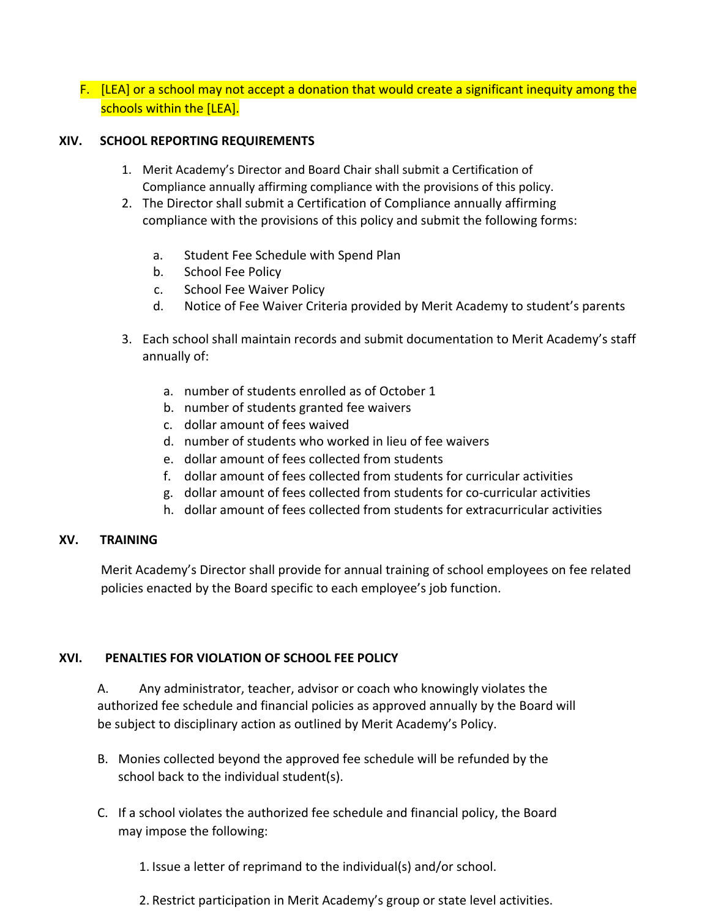# F. [LEA] or a school may not accept a donation that would create a significant inequity among the schools within the [LEA].

#### **XIV. SCHOOL REPORTING REQUIREMENTS**

- 1. Merit Academy's Director and Board Chair shall submit a Certification of Compliance annually affirming compliance with the provisions of this policy.
- 2. The Director shall submit a Certification of Compliance annually affirming compliance with the provisions of this policy and submit the following forms:
	- a. Student Fee Schedule with Spend Plan
	- b. School Fee Policy
	- c. School Fee Waiver Policy
	- d. Notice of Fee Waiver Criteria provided by Merit Academy to student's parents
- 3. Each school shall maintain records and submit documentation to Merit Academy's staff annually of:
	- a. number of students enrolled as of October 1
	- b. number of students granted fee waivers
	- c. dollar amount of fees waived
	- d. number of students who worked in lieu of fee waivers
	- e. dollar amount of fees collected from students
	- f. dollar amount of fees collected from students for curricular activities
	- g. dollar amount of fees collected from students for co-curricular activities
	- h. dollar amount of fees collected from students for extracurricular activities

#### **XV. TRAINING**

Merit Academy's Director shall provide for annual training of school employees on fee related policies enacted by the Board specific to each employee's job function.

#### **XVI. PENALTIES FOR VIOLATION OF SCHOOL FEE POLICY**

A. Any administrator, teacher, advisor or coach who knowingly violates the authorized fee schedule and financial policies as approved annually by the Board will be subject to disciplinary action as outlined by Merit Academy's Policy.

- B. Monies collected beyond the approved fee schedule will be refunded by the school back to the individual student(s).
- C. If a school violates the authorized fee schedule and financial policy, the Board may impose the following:
	- 1. Issue a letter of reprimand to the individual(s) and/or school.
	- 2. Restrict participation in Merit Academy's group or state level activities.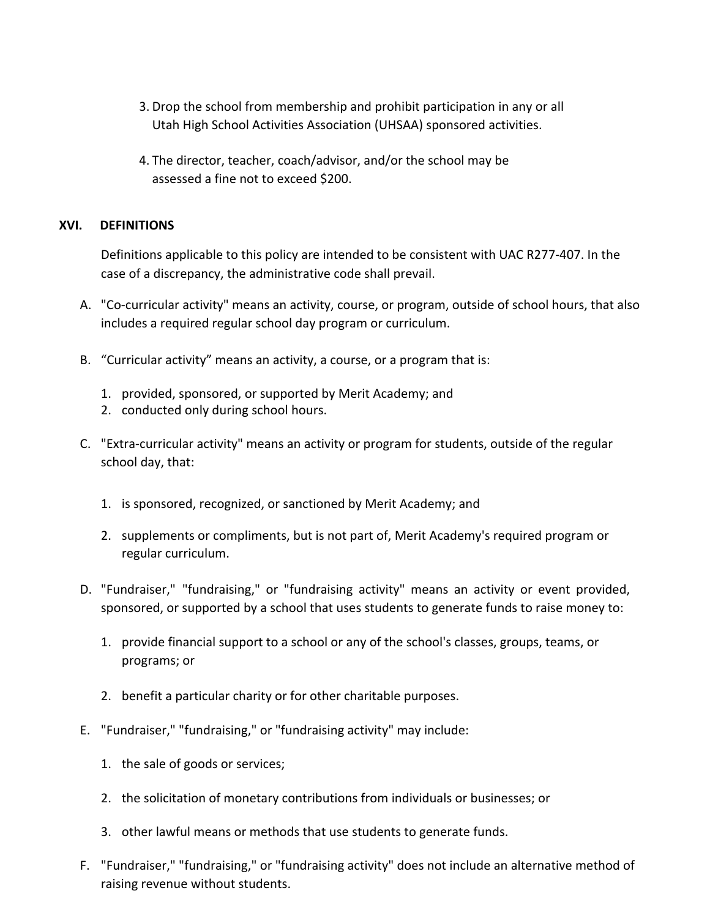- 3. Drop the school from membership and prohibit participation in any or all Utah High School Activities Association (UHSAA) sponsored activities.
- 4. The director, teacher, coach/advisor, and/or the school may be assessed a fine not to exceed \$200.

#### **XVI. DEFINITIONS**

Definitions applicable to this policy are intended to be consistent with UAC R277-407. In the case of a discrepancy, the administrative code shall prevail.

- A. "Co-curricular activity" means an activity, course, or program, outside of school hours, that also includes a required regular school day program or curriculum.
- B. "Curricular activity" means an activity, a course, or a program that is:
	- 1. provided, sponsored, or supported by Merit Academy; and
	- 2. conducted only during school hours.
- C. "Extra-curricular activity" means an activity or program for students, outside of the regular school day, that:
	- 1. is sponsored, recognized, or sanctioned by Merit Academy; and
	- 2. supplements or compliments, but is not part of, Merit Academy's required program or regular curriculum.
- D. "Fundraiser," "fundraising," or "fundraising activity" means an activity or event provided, sponsored, or supported by a school that uses students to generate funds to raise money to:
	- 1. provide financial support to a school or any of the school's classes, groups, teams, or programs; or
	- 2. benefit a particular charity or for other charitable purposes.
- E. "Fundraiser," "fundraising," or "fundraising activity" may include:
	- 1. the sale of goods or services;
	- 2. the solicitation of monetary contributions from individuals or businesses; or
	- 3. other lawful means or methods that use students to generate funds.
- F. "Fundraiser," "fundraising," or "fundraising activity" does not include an alternative method of raising revenue without students.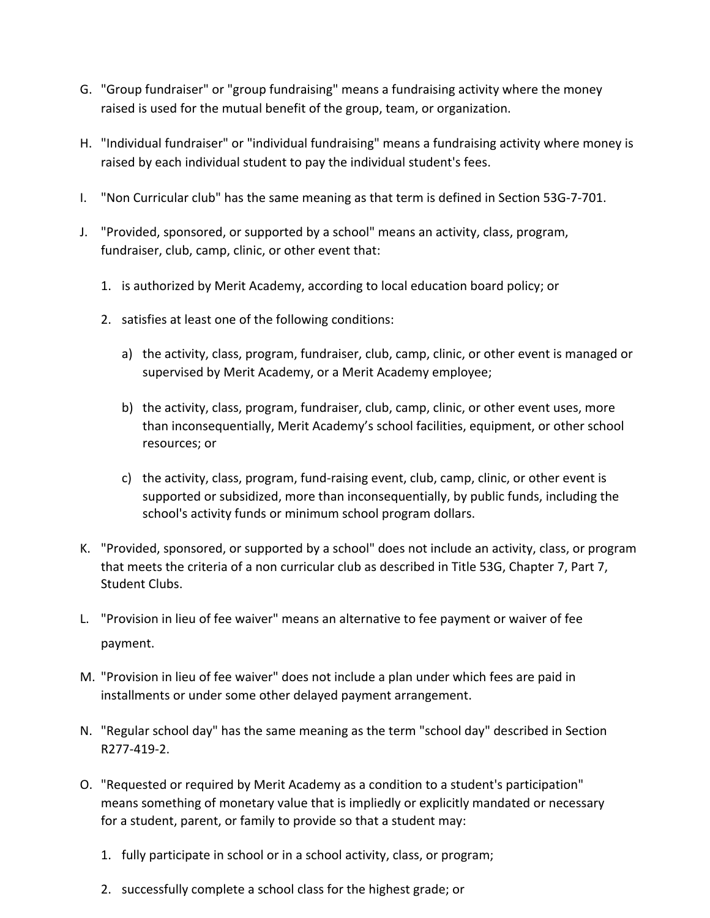- G. "Group fundraiser" or "group fundraising" means a fundraising activity where the money raised is used for the mutual benefit of the group, team, or organization.
- H. "Individual fundraiser" or "individual fundraising" means a fundraising activity where money is raised by each individual student to pay the individual student's fees.
- I. "Non Curricular club" has the same meaning as that term is defined in Section 53G-7-701.
- J. "Provided, sponsored, or supported by a school" means an activity, class, program, fundraiser, club, camp, clinic, or other event that:
	- 1. is authorized by Merit Academy, according to local education board policy; or
	- 2. satisfies at least one of the following conditions:
		- a) the activity, class, program, fundraiser, club, camp, clinic, or other event is managed or supervised by Merit Academy, or a Merit Academy employee;
		- b) the activity, class, program, fundraiser, club, camp, clinic, or other event uses, more than inconsequentially, Merit Academy's school facilities, equipment, or other school resources; or
		- c) the activity, class, program, fund-raising event, club, camp, clinic, or other event is supported or subsidized, more than inconsequentially, by public funds, including the school's activity funds or minimum school program dollars.
- K. "Provided, sponsored, or supported by a school" does not include an activity, class, or program that meets the criteria of a non curricular club as described in Title 53G, Chapter 7, Part 7, Student Clubs.
- L. "Provision in lieu of fee waiver" means an alternative to fee payment or waiver of fee payment.
- M. "Provision in lieu of fee waiver" does not include a plan under which fees are paid in installments or under some other delayed payment arrangement.
- N. "Regular school day" has the same meaning as the term "school day" described in Section R277-419-2.
- O. "Requested or required by Merit Academy as a condition to a student's participation" means something of monetary value that is impliedly or explicitly mandated or necessary for a student, parent, or family to provide so that a student may:
	- 1. fully participate in school or in a school activity, class, or program;
	- 2. successfully complete a school class for the highest grade; or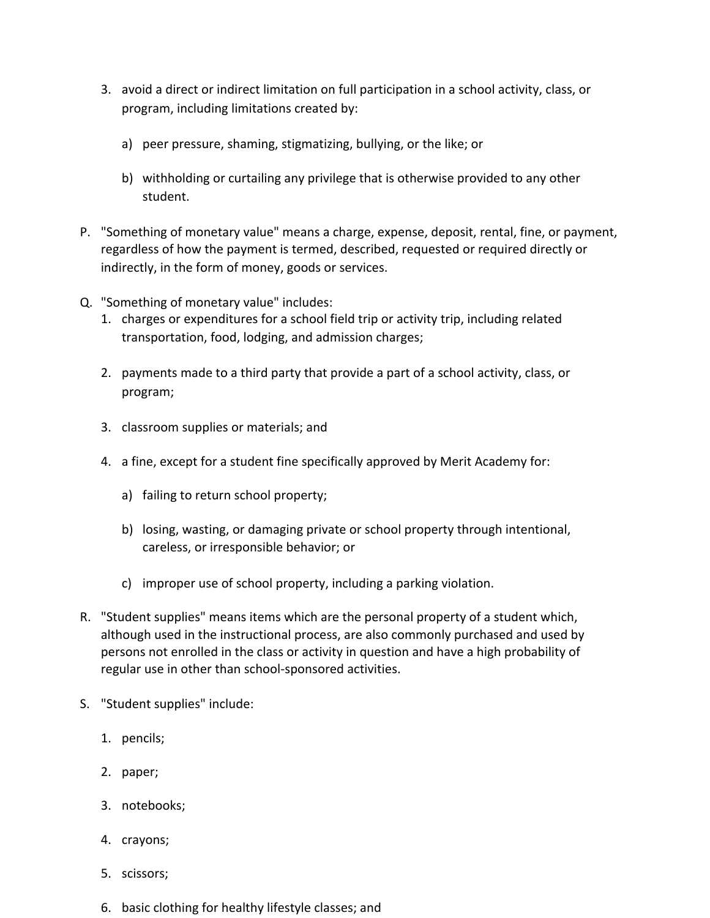- 3. avoid a direct or indirect limitation on full participation in a school activity, class, or program, including limitations created by:
	- a) peer pressure, shaming, stigmatizing, bullying, or the like; or
	- b) withholding or curtailing any privilege that is otherwise provided to any other student.
- P. "Something of monetary value" means a charge, expense, deposit, rental, fine, or payment, regardless of how the payment is termed, described, requested or required directly or indirectly, in the form of money, goods or services.
- Q. "Something of monetary value" includes:
	- 1. charges or expenditures for a school field trip or activity trip, including related transportation, food, lodging, and admission charges;
	- 2. payments made to a third party that provide a part of a school activity, class, or program;
	- 3. classroom supplies or materials; and
	- 4. a fine, except for a student fine specifically approved by Merit Academy for:
		- a) failing to return school property;
		- b) losing, wasting, or damaging private or school property through intentional, careless, or irresponsible behavior; or
		- c) improper use of school property, including a parking violation.
- R. "Student supplies" means items which are the personal property of a student which, although used in the instructional process, are also commonly purchased and used by persons not enrolled in the class or activity in question and have a high probability of regular use in other than school-sponsored activities.
- S. "Student supplies" include:
	- 1. pencils;
	- 2. paper;
	- 3. notebooks;
	- 4. crayons;
	- 5. scissors;
	- 6. basic clothing for healthy lifestyle classes; and